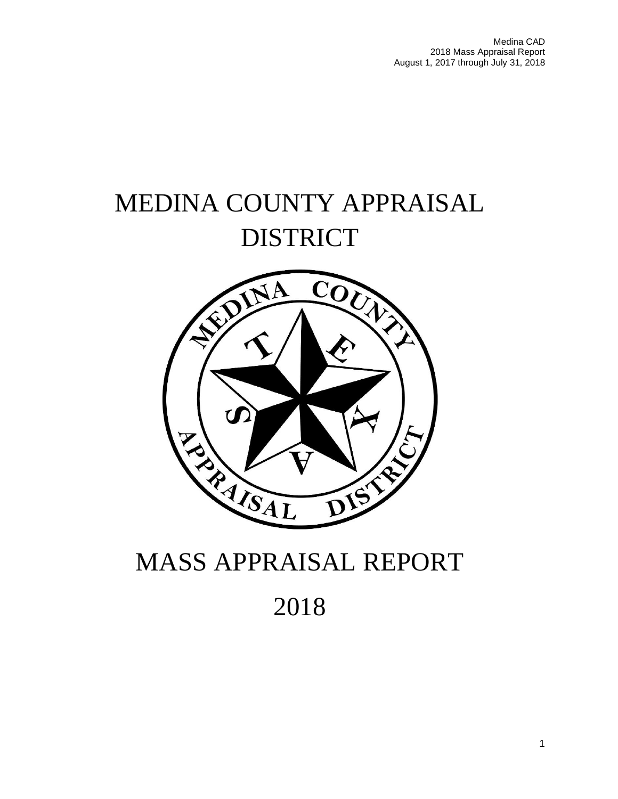Medina CAD 2018 Mass Appraisal Report August 1, 2017 through July 31, 2018

# MEDINA COUNTY APPRAISAL DISTRICT



# MASS APPRAISAL REPORT

2018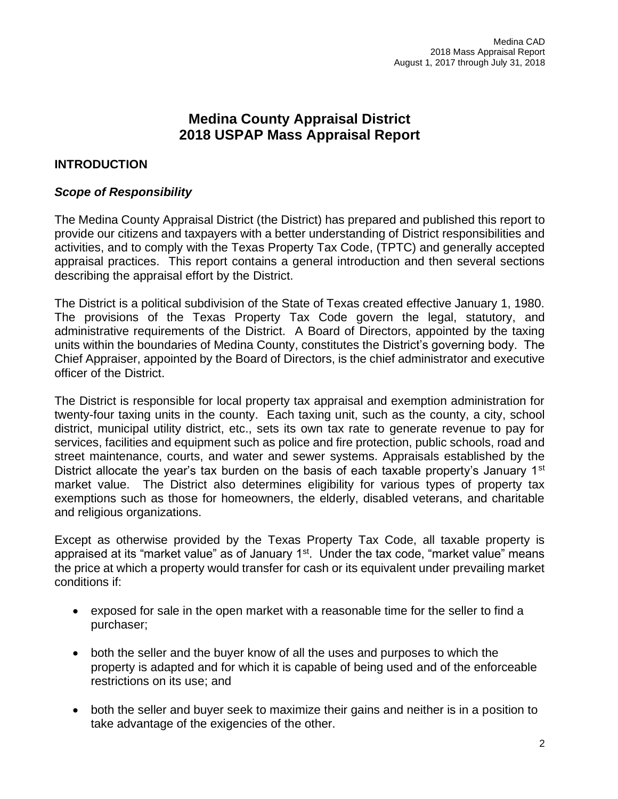# **Medina County Appraisal District 2018 USPAP Mass Appraisal Report**

## **INTRODUCTION**

## *Scope of Responsibility*

The Medina County Appraisal District (the District) has prepared and published this report to provide our citizens and taxpayers with a better understanding of District responsibilities and activities, and to comply with the Texas Property Tax Code, (TPTC) and generally accepted appraisal practices. This report contains a general introduction and then several sections describing the appraisal effort by the District.

The District is a political subdivision of the State of Texas created effective January 1, 1980. The provisions of the Texas Property Tax Code govern the legal, statutory, and administrative requirements of the District. A Board of Directors, appointed by the taxing units within the boundaries of Medina County, constitutes the District's governing body. The Chief Appraiser, appointed by the Board of Directors, is the chief administrator and executive officer of the District.

The District is responsible for local property tax appraisal and exemption administration for twenty-four taxing units in the county. Each taxing unit, such as the county, a city, school district, municipal utility district, etc., sets its own tax rate to generate revenue to pay for services, facilities and equipment such as police and fire protection, public schools, road and street maintenance, courts, and water and sewer systems. Appraisals established by the District allocate the year's tax burden on the basis of each taxable property's January  $1<sup>st</sup>$ market value. The District also determines eligibility for various types of property tax exemptions such as those for homeowners, the elderly, disabled veterans, and charitable and religious organizations.

Except as otherwise provided by the Texas Property Tax Code, all taxable property is appraised at its "market value" as of January  $1<sup>st</sup>$ . Under the tax code, "market value" means the price at which a property would transfer for cash or its equivalent under prevailing market conditions if:

- exposed for sale in the open market with a reasonable time for the seller to find a purchaser;
- both the seller and the buyer know of all the uses and purposes to which the property is adapted and for which it is capable of being used and of the enforceable restrictions on its use; and
- both the seller and buyer seek to maximize their gains and neither is in a position to take advantage of the exigencies of the other.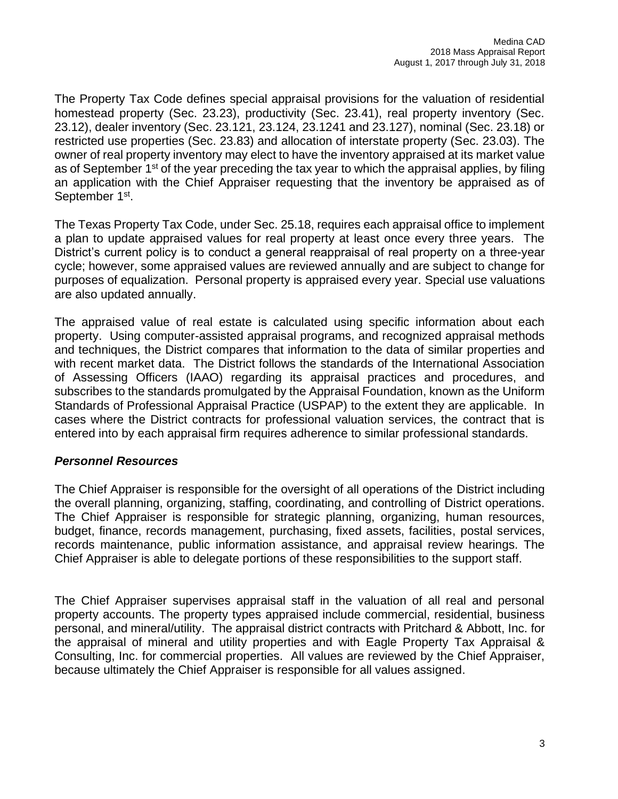The Property Tax Code defines special appraisal provisions for the valuation of residential homestead property (Sec. 23.23), productivity (Sec. 23.41), real property inventory (Sec. 23.12), dealer inventory (Sec. 23.121, 23.124, 23.1241 and 23.127), nominal (Sec. 23.18) or restricted use properties (Sec. 23.83) and allocation of interstate property (Sec. 23.03). The owner of real property inventory may elect to have the inventory appraised at its market value as of September  $1<sup>st</sup>$  of the year preceding the tax year to which the appraisal applies, by filing an application with the Chief Appraiser requesting that the inventory be appraised as of September 1<sup>st</sup>.

The Texas Property Tax Code, under Sec. 25.18, requires each appraisal office to implement a plan to update appraised values for real property at least once every three years. The District's current policy is to conduct a general reappraisal of real property on a three-year cycle; however, some appraised values are reviewed annually and are subject to change for purposes of equalization. Personal property is appraised every year. Special use valuations are also updated annually.

The appraised value of real estate is calculated using specific information about each property. Using computer-assisted appraisal programs, and recognized appraisal methods and techniques, the District compares that information to the data of similar properties and with recent market data. The District follows the standards of the International Association of Assessing Officers (IAAO) regarding its appraisal practices and procedures, and subscribes to the standards promulgated by the Appraisal Foundation, known as the Uniform Standards of Professional Appraisal Practice (USPAP) to the extent they are applicable. In cases where the District contracts for professional valuation services, the contract that is entered into by each appraisal firm requires adherence to similar professional standards.

## *Personnel Resources*

The Chief Appraiser is responsible for the oversight of all operations of the District including the overall planning, organizing, staffing, coordinating, and controlling of District operations. The Chief Appraiser is responsible for strategic planning, organizing, human resources, budget, finance, records management, purchasing, fixed assets, facilities, postal services, records maintenance, public information assistance, and appraisal review hearings. The Chief Appraiser is able to delegate portions of these responsibilities to the support staff.

The Chief Appraiser supervises appraisal staff in the valuation of all real and personal property accounts. The property types appraised include commercial, residential, business personal, and mineral/utility. The appraisal district contracts with Pritchard & Abbott, Inc. for the appraisal of mineral and utility properties and with Eagle Property Tax Appraisal & Consulting, Inc. for commercial properties. All values are reviewed by the Chief Appraiser, because ultimately the Chief Appraiser is responsible for all values assigned.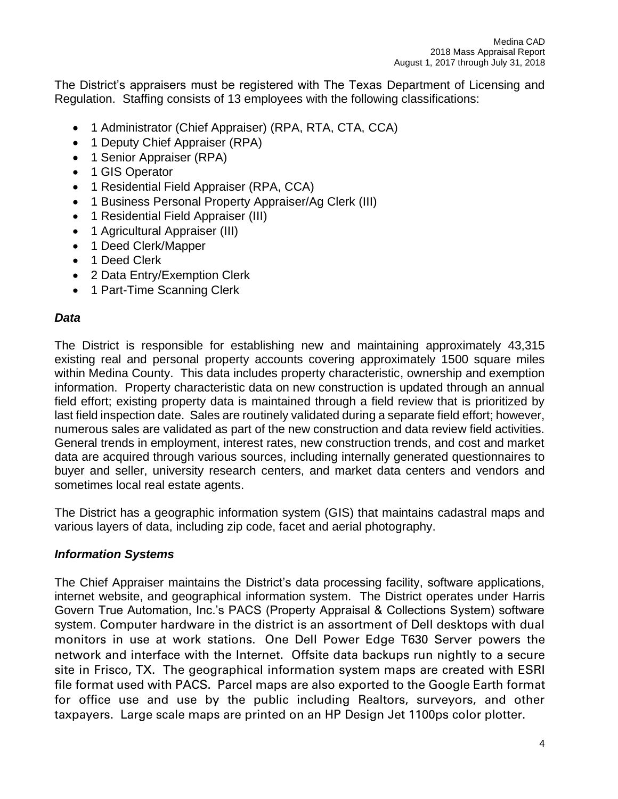The District's appraisers must be registered with The Texas Department of Licensing and Regulation. Staffing consists of 13 employees with the following classifications:

- 1 Administrator (Chief Appraiser) (RPA, RTA, CTA, CCA)
- 1 Deputy Chief Appraiser (RPA)
- 1 Senior Appraiser (RPA)
- 1 GIS Operator
- 1 Residential Field Appraiser (RPA, CCA)
- 1 Business Personal Property Appraiser/Ag Clerk (III)
- 1 Residential Field Appraiser (III)
- 1 Agricultural Appraiser (III)
- 1 Deed Clerk/Mapper
- 1 Deed Clerk
- 2 Data Entry/Exemption Clerk
- 1 Part-Time Scanning Clerk

## *Data*

The District is responsible for establishing new and maintaining approximately 43,315 existing real and personal property accounts covering approximately 1500 square miles within Medina County. This data includes property characteristic, ownership and exemption information. Property characteristic data on new construction is updated through an annual field effort; existing property data is maintained through a field review that is prioritized by last field inspection date. Sales are routinely validated during a separate field effort; however, numerous sales are validated as part of the new construction and data review field activities. General trends in employment, interest rates, new construction trends, and cost and market data are acquired through various sources, including internally generated questionnaires to buyer and seller, university research centers, and market data centers and vendors and sometimes local real estate agents.

The District has a geographic information system (GIS) that maintains cadastral maps and various layers of data, including zip code, facet and aerial photography.

## *Information Systems*

The Chief Appraiser maintains the District's data processing facility, software applications, internet website, and geographical information system. The District operates under Harris Govern True Automation, Inc.'s PACS (Property Appraisal & Collections System) software system. Computer hardware in the district is an assortment of Dell desktops with dual monitors in use at work stations. One Dell Power Edge T630 Server powers the network and interface with the Internet. Offsite data backups run nightly to a secure site in Frisco, TX. The geographical information system maps are created with ESRI file format used with PACS. Parcel maps are also exported to the Google Earth format for office use and use by the public including Realtors, surveyors, and other taxpayers. Large scale maps are printed on an HP Design Jet 1100ps color plotter.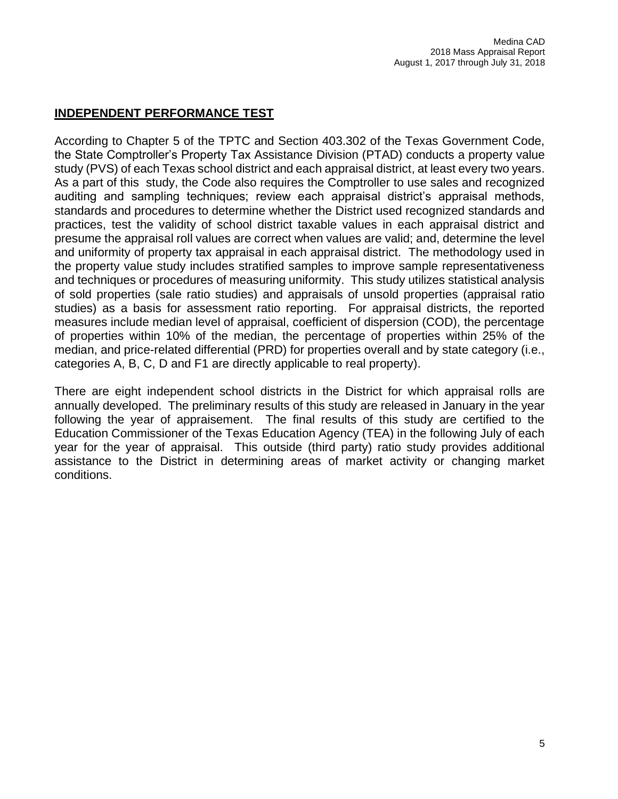## **INDEPENDENT PERFORMANCE TEST**

According to Chapter 5 of the TPTC and Section 403.302 of the Texas Government Code, the State Comptroller's Property Tax Assistance Division (PTAD) conducts a property value study (PVS) of each Texas school district and each appraisal district, at least every two years. As a part of this study, the Code also requires the Comptroller to use sales and recognized auditing and sampling techniques; review each appraisal district's appraisal methods, standards and procedures to determine whether the District used recognized standards and practices, test the validity of school district taxable values in each appraisal district and presume the appraisal roll values are correct when values are valid; and, determine the level and uniformity of property tax appraisal in each appraisal district. The methodology used in the property value study includes stratified samples to improve sample representativeness and techniques or procedures of measuring uniformity. This study utilizes statistical analysis of sold properties (sale ratio studies) and appraisals of unsold properties (appraisal ratio studies) as a basis for assessment ratio reporting. For appraisal districts, the reported measures include median level of appraisal, coefficient of dispersion (COD), the percentage of properties within 10% of the median, the percentage of properties within 25% of the median, and price-related differential (PRD) for properties overall and by state category (i.e., categories A, B, C, D and F1 are directly applicable to real property).

There are eight independent school districts in the District for which appraisal rolls are annually developed. The preliminary results of this study are released in January in the year following the year of appraisement. The final results of this study are certified to the Education Commissioner of the Texas Education Agency (TEA) in the following July of each year for the year of appraisal. This outside (third party) ratio study provides additional assistance to the District in determining areas of market activity or changing market conditions.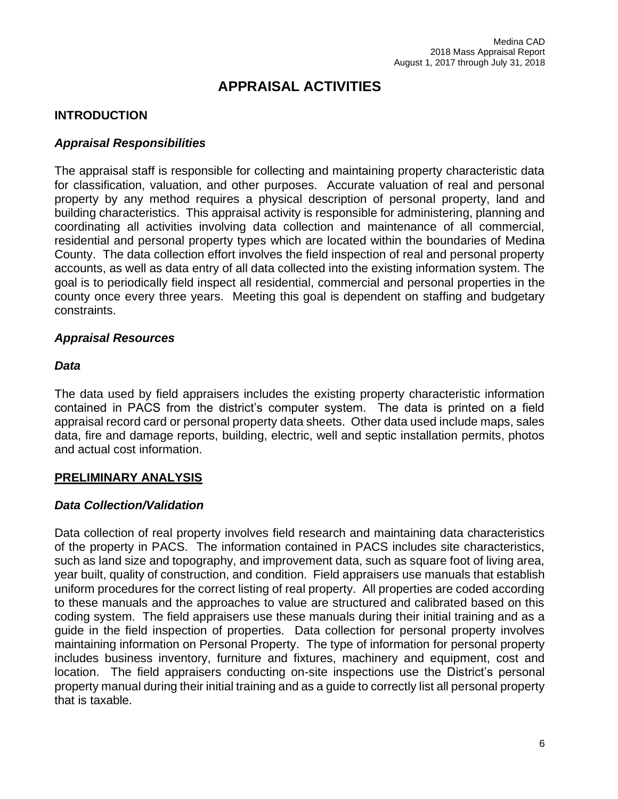# **APPRAISAL ACTIVITIES**

## **INTRODUCTION**

## *Appraisal Responsibilities*

The appraisal staff is responsible for collecting and maintaining property characteristic data for classification, valuation, and other purposes. Accurate valuation of real and personal property by any method requires a physical description of personal property, land and building characteristics. This appraisal activity is responsible for administering, planning and coordinating all activities involving data collection and maintenance of all commercial, residential and personal property types which are located within the boundaries of Medina County. The data collection effort involves the field inspection of real and personal property accounts, as well as data entry of all data collected into the existing information system. The goal is to periodically field inspect all residential, commercial and personal properties in the county once every three years. Meeting this goal is dependent on staffing and budgetary constraints.

## *Appraisal Resources*

#### *Data*

The data used by field appraisers includes the existing property characteristic information contained in PACS from the district's computer system. The data is printed on a field appraisal record card or personal property data sheets. Other data used include maps, sales data, fire and damage reports, building, electric, well and septic installation permits, photos and actual cost information.

## **PRELIMINARY ANALYSIS**

## *Data Collection/Validation*

Data collection of real property involves field research and maintaining data characteristics of the property in PACS. The information contained in PACS includes site characteristics, such as land size and topography, and improvement data, such as square foot of living area, year built, quality of construction, and condition. Field appraisers use manuals that establish uniform procedures for the correct listing of real property. All properties are coded according to these manuals and the approaches to value are structured and calibrated based on this coding system. The field appraisers use these manuals during their initial training and as a guide in the field inspection of properties. Data collection for personal property involves maintaining information on Personal Property. The type of information for personal property includes business inventory, furniture and fixtures, machinery and equipment, cost and location. The field appraisers conducting on-site inspections use the District's personal property manual during their initial training and as a guide to correctly list all personal property that is taxable.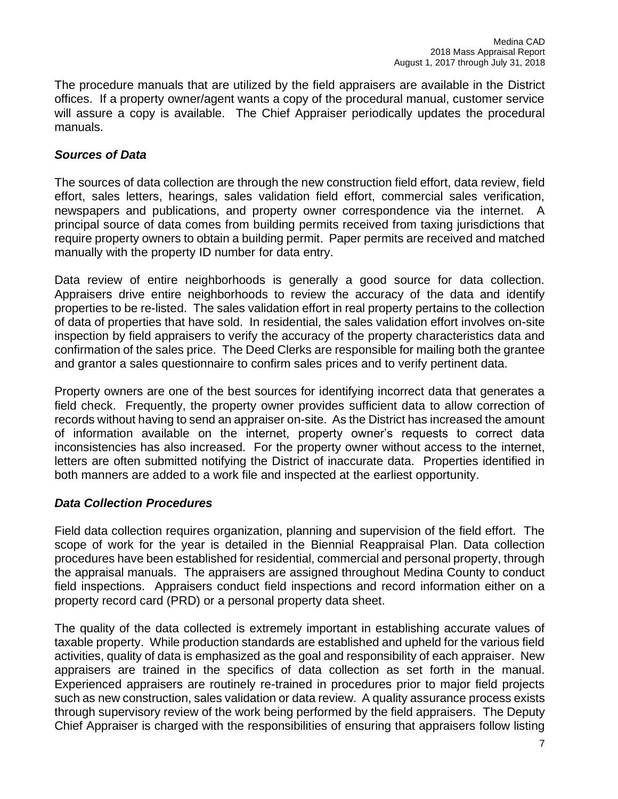The procedure manuals that are utilized by the field appraisers are available in the District offices. If a property owner/agent wants a copy of the procedural manual, customer service will assure a copy is available. The Chief Appraiser periodically updates the procedural manuals.

## *Sources of Data*

The sources of data collection are through the new construction field effort, data review, field effort, sales letters, hearings, sales validation field effort, commercial sales verification, newspapers and publications, and property owner correspondence via the internet. A principal source of data comes from building permits received from taxing jurisdictions that require property owners to obtain a building permit. Paper permits are received and matched manually with the property ID number for data entry.

Data review of entire neighborhoods is generally a good source for data collection. Appraisers drive entire neighborhoods to review the accuracy of the data and identify properties to be re-listed. The sales validation effort in real property pertains to the collection of data of properties that have sold. In residential, the sales validation effort involves on-site inspection by field appraisers to verify the accuracy of the property characteristics data and confirmation of the sales price. The Deed Clerks are responsible for mailing both the grantee and grantor a sales questionnaire to confirm sales prices and to verify pertinent data.

Property owners are one of the best sources for identifying incorrect data that generates a field check. Frequently, the property owner provides sufficient data to allow correction of records without having to send an appraiser on-site. As the District has increased the amount of information available on the internet, property owner's requests to correct data inconsistencies has also increased. For the property owner without access to the internet, letters are often submitted notifying the District of inaccurate data. Properties identified in both manners are added to a work file and inspected at the earliest opportunity.

## *Data Collection Procedures*

Field data collection requires organization, planning and supervision of the field effort. The scope of work for the year is detailed in the Biennial Reappraisal Plan. Data collection procedures have been established for residential, commercial and personal property, through the appraisal manuals. The appraisers are assigned throughout Medina County to conduct field inspections. Appraisers conduct field inspections and record information either on a property record card (PRD) or a personal property data sheet.

The quality of the data collected is extremely important in establishing accurate values of taxable property. While production standards are established and upheld for the various field activities, quality of data is emphasized as the goal and responsibility of each appraiser. New appraisers are trained in the specifics of data collection as set forth in the manual. Experienced appraisers are routinely re-trained in procedures prior to major field projects such as new construction, sales validation or data review. A quality assurance process exists through supervisory review of the work being performed by the field appraisers. The Deputy Chief Appraiser is charged with the responsibilities of ensuring that appraisers follow listing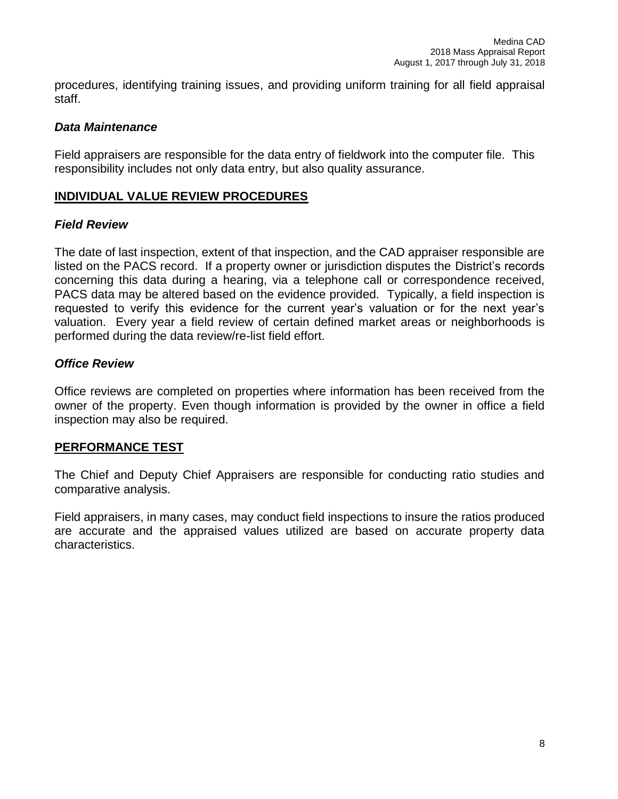procedures, identifying training issues, and providing uniform training for all field appraisal staff.

## *Data Maintenance*

Field appraisers are responsible for the data entry of fieldwork into the computer file. This responsibility includes not only data entry, but also quality assurance.

## **INDIVIDUAL VALUE REVIEW PROCEDURES**

## *Field Review*

The date of last inspection, extent of that inspection, and the CAD appraiser responsible are listed on the PACS record. If a property owner or jurisdiction disputes the District's records concerning this data during a hearing, via a telephone call or correspondence received, PACS data may be altered based on the evidence provided. Typically, a field inspection is requested to verify this evidence for the current year's valuation or for the next year's valuation. Every year a field review of certain defined market areas or neighborhoods is performed during the data review/re-list field effort.

## *Office Review*

Office reviews are completed on properties where information has been received from the owner of the property. Even though information is provided by the owner in office a field inspection may also be required.

#### **PERFORMANCE TEST**

The Chief and Deputy Chief Appraisers are responsible for conducting ratio studies and comparative analysis.

Field appraisers, in many cases, may conduct field inspections to insure the ratios produced are accurate and the appraised values utilized are based on accurate property data characteristics.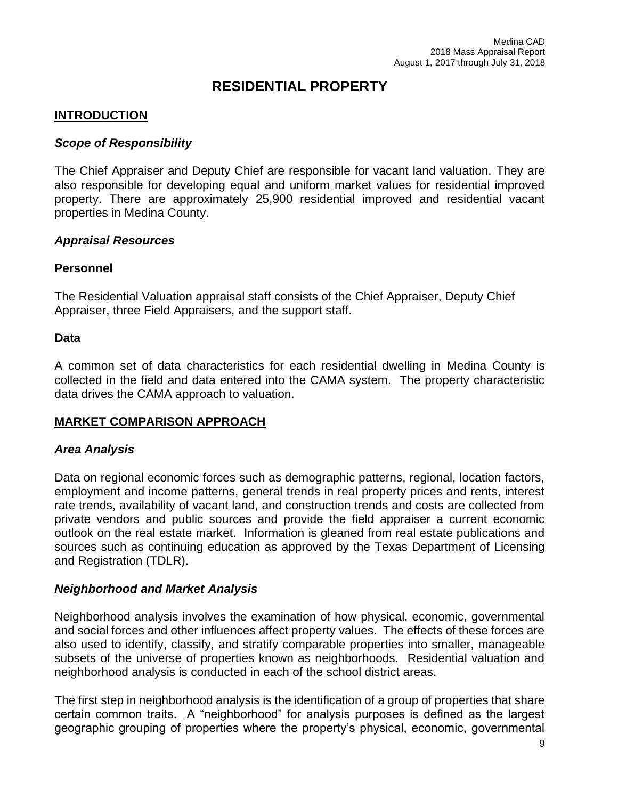## **RESIDENTIAL PROPERTY**

## **INTRODUCTION**

#### *Scope of Responsibility*

The Chief Appraiser and Deputy Chief are responsible for vacant land valuation. They are also responsible for developing equal and uniform market values for residential improved property. There are approximately 25,900 residential improved and residential vacant properties in Medina County.

#### *Appraisal Resources*

#### **Personnel**

The Residential Valuation appraisal staff consists of the Chief Appraiser, Deputy Chief Appraiser, three Field Appraisers, and the support staff.

#### **Data**

A common set of data characteristics for each residential dwelling in Medina County is collected in the field and data entered into the CAMA system. The property characteristic data drives the CAMA approach to valuation.

## **MARKET COMPARISON APPROACH**

## *Area Analysis*

Data on regional economic forces such as demographic patterns, regional, location factors, employment and income patterns, general trends in real property prices and rents, interest rate trends, availability of vacant land, and construction trends and costs are collected from private vendors and public sources and provide the field appraiser a current economic outlook on the real estate market. Information is gleaned from real estate publications and sources such as continuing education as approved by the Texas Department of Licensing and Registration (TDLR).

## *Neighborhood and Market Analysis*

Neighborhood analysis involves the examination of how physical, economic, governmental and social forces and other influences affect property values. The effects of these forces are also used to identify, classify, and stratify comparable properties into smaller, manageable subsets of the universe of properties known as neighborhoods. Residential valuation and neighborhood analysis is conducted in each of the school district areas.

The first step in neighborhood analysis is the identification of a group of properties that share certain common traits. A "neighborhood" for analysis purposes is defined as the largest geographic grouping of properties where the property's physical, economic, governmental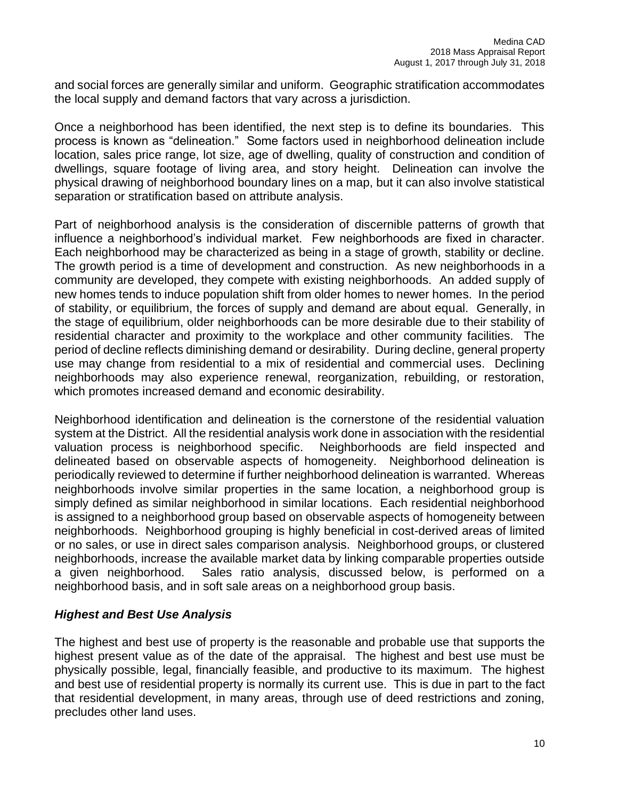and social forces are generally similar and uniform. Geographic stratification accommodates the local supply and demand factors that vary across a jurisdiction.

Once a neighborhood has been identified, the next step is to define its boundaries. This process is known as "delineation." Some factors used in neighborhood delineation include location, sales price range, lot size, age of dwelling, quality of construction and condition of dwellings, square footage of living area, and story height. Delineation can involve the physical drawing of neighborhood boundary lines on a map, but it can also involve statistical separation or stratification based on attribute analysis.

Part of neighborhood analysis is the consideration of discernible patterns of growth that influence a neighborhood's individual market. Few neighborhoods are fixed in character. Each neighborhood may be characterized as being in a stage of growth, stability or decline. The growth period is a time of development and construction. As new neighborhoods in a community are developed, they compete with existing neighborhoods. An added supply of new homes tends to induce population shift from older homes to newer homes. In the period of stability, or equilibrium, the forces of supply and demand are about equal. Generally, in the stage of equilibrium, older neighborhoods can be more desirable due to their stability of residential character and proximity to the workplace and other community facilities. The period of decline reflects diminishing demand or desirability. During decline, general property use may change from residential to a mix of residential and commercial uses. Declining neighborhoods may also experience renewal, reorganization, rebuilding, or restoration, which promotes increased demand and economic desirability.

Neighborhood identification and delineation is the cornerstone of the residential valuation system at the District. All the residential analysis work done in association with the residential valuation process is neighborhood specific. Neighborhoods are field inspected and delineated based on observable aspects of homogeneity. Neighborhood delineation is periodically reviewed to determine if further neighborhood delineation is warranted. Whereas neighborhoods involve similar properties in the same location, a neighborhood group is simply defined as similar neighborhood in similar locations. Each residential neighborhood is assigned to a neighborhood group based on observable aspects of homogeneity between neighborhoods. Neighborhood grouping is highly beneficial in cost-derived areas of limited or no sales, or use in direct sales comparison analysis. Neighborhood groups, or clustered neighborhoods, increase the available market data by linking comparable properties outside a given neighborhood. Sales ratio analysis, discussed below, is performed on a neighborhood basis, and in soft sale areas on a neighborhood group basis.

## *Highest and Best Use Analysis*

The highest and best use of property is the reasonable and probable use that supports the highest present value as of the date of the appraisal. The highest and best use must be physically possible, legal, financially feasible, and productive to its maximum. The highest and best use of residential property is normally its current use. This is due in part to the fact that residential development, in many areas, through use of deed restrictions and zoning, precludes other land uses.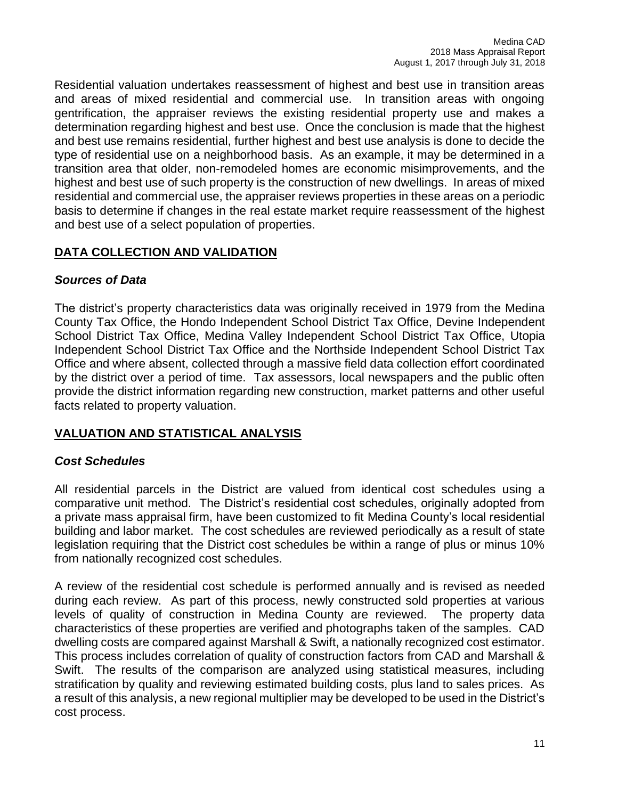Residential valuation undertakes reassessment of highest and best use in transition areas and areas of mixed residential and commercial use. In transition areas with ongoing gentrification, the appraiser reviews the existing residential property use and makes a determination regarding highest and best use. Once the conclusion is made that the highest and best use remains residential, further highest and best use analysis is done to decide the type of residential use on a neighborhood basis. As an example, it may be determined in a transition area that older, non-remodeled homes are economic misimprovements, and the highest and best use of such property is the construction of new dwellings. In areas of mixed residential and commercial use, the appraiser reviews properties in these areas on a periodic basis to determine if changes in the real estate market require reassessment of the highest and best use of a select population of properties.

## **DATA COLLECTION AND VALIDATION**

## *Sources of Data*

The district's property characteristics data was originally received in 1979 from the Medina County Tax Office, the Hondo Independent School District Tax Office, Devine Independent School District Tax Office, Medina Valley Independent School District Tax Office, Utopia Independent School District Tax Office and the Northside Independent School District Tax Office and where absent, collected through a massive field data collection effort coordinated by the district over a period of time. Tax assessors, local newspapers and the public often provide the district information regarding new construction, market patterns and other useful facts related to property valuation.

## **VALUATION AND STATISTICAL ANALYSIS**

## *Cost Schedules*

All residential parcels in the District are valued from identical cost schedules using a comparative unit method. The District's residential cost schedules, originally adopted from a private mass appraisal firm, have been customized to fit Medina County's local residential building and labor market. The cost schedules are reviewed periodically as a result of state legislation requiring that the District cost schedules be within a range of plus or minus 10% from nationally recognized cost schedules.

A review of the residential cost schedule is performed annually and is revised as needed during each review. As part of this process, newly constructed sold properties at various levels of quality of construction in Medina County are reviewed. The property data characteristics of these properties are verified and photographs taken of the samples. CAD dwelling costs are compared against Marshall & Swift, a nationally recognized cost estimator. This process includes correlation of quality of construction factors from CAD and Marshall & Swift. The results of the comparison are analyzed using statistical measures, including stratification by quality and reviewing estimated building costs, plus land to sales prices. As a result of this analysis, a new regional multiplier may be developed to be used in the District's cost process.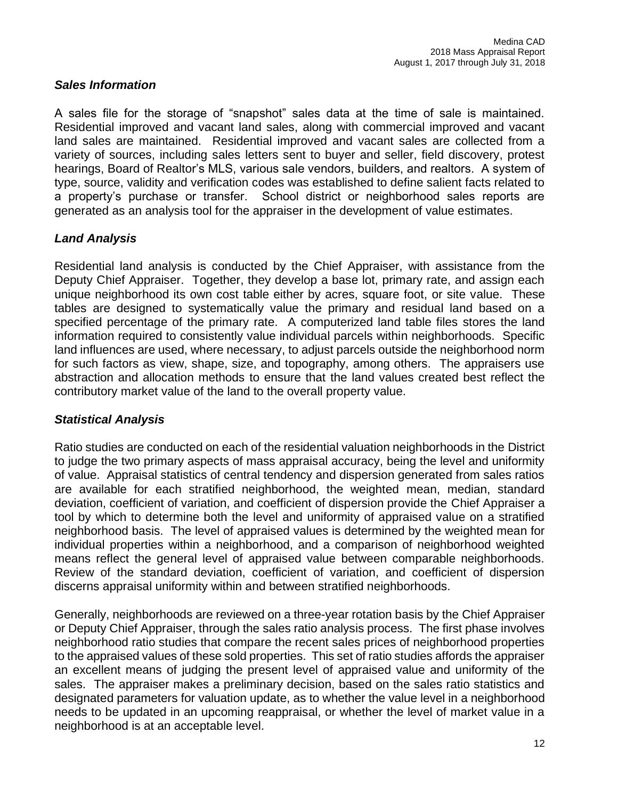## *Sales Information*

A sales file for the storage of "snapshot" sales data at the time of sale is maintained. Residential improved and vacant land sales, along with commercial improved and vacant land sales are maintained. Residential improved and vacant sales are collected from a variety of sources, including sales letters sent to buyer and seller, field discovery, protest hearings, Board of Realtor's MLS, various sale vendors, builders, and realtors. A system of type, source, validity and verification codes was established to define salient facts related to a property's purchase or transfer. School district or neighborhood sales reports are generated as an analysis tool for the appraiser in the development of value estimates.

## *Land Analysis*

Residential land analysis is conducted by the Chief Appraiser, with assistance from the Deputy Chief Appraiser. Together, they develop a base lot, primary rate, and assign each unique neighborhood its own cost table either by acres, square foot, or site value. These tables are designed to systematically value the primary and residual land based on a specified percentage of the primary rate. A computerized land table files stores the land information required to consistently value individual parcels within neighborhoods. Specific land influences are used, where necessary, to adjust parcels outside the neighborhood norm for such factors as view, shape, size, and topography, among others. The appraisers use abstraction and allocation methods to ensure that the land values created best reflect the contributory market value of the land to the overall property value.

## *Statistical Analysis*

Ratio studies are conducted on each of the residential valuation neighborhoods in the District to judge the two primary aspects of mass appraisal accuracy, being the level and uniformity of value. Appraisal statistics of central tendency and dispersion generated from sales ratios are available for each stratified neighborhood, the weighted mean, median, standard deviation, coefficient of variation, and coefficient of dispersion provide the Chief Appraiser a tool by which to determine both the level and uniformity of appraised value on a stratified neighborhood basis. The level of appraised values is determined by the weighted mean for individual properties within a neighborhood, and a comparison of neighborhood weighted means reflect the general level of appraised value between comparable neighborhoods. Review of the standard deviation, coefficient of variation, and coefficient of dispersion discerns appraisal uniformity within and between stratified neighborhoods.

Generally, neighborhoods are reviewed on a three-year rotation basis by the Chief Appraiser or Deputy Chief Appraiser, through the sales ratio analysis process. The first phase involves neighborhood ratio studies that compare the recent sales prices of neighborhood properties to the appraised values of these sold properties. This set of ratio studies affords the appraiser an excellent means of judging the present level of appraised value and uniformity of the sales. The appraiser makes a preliminary decision, based on the sales ratio statistics and designated parameters for valuation update, as to whether the value level in a neighborhood needs to be updated in an upcoming reappraisal, or whether the level of market value in a neighborhood is at an acceptable level.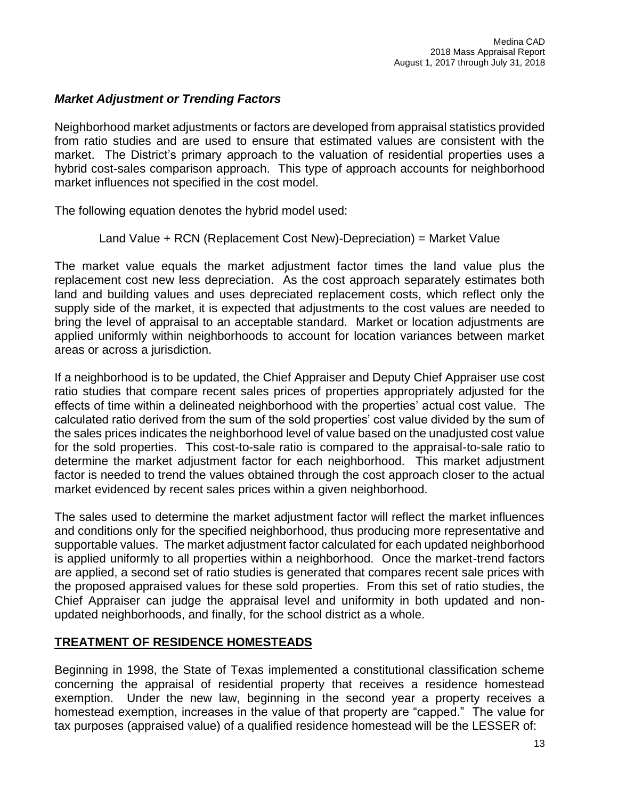## *Market Adjustment or Trending Factors*

Neighborhood market adjustments or factors are developed from appraisal statistics provided from ratio studies and are used to ensure that estimated values are consistent with the market. The District's primary approach to the valuation of residential properties uses a hybrid cost-sales comparison approach. This type of approach accounts for neighborhood market influences not specified in the cost model.

The following equation denotes the hybrid model used:

## Land Value + RCN (Replacement Cost New)-Depreciation) = Market Value

The market value equals the market adjustment factor times the land value plus the replacement cost new less depreciation. As the cost approach separately estimates both land and building values and uses depreciated replacement costs, which reflect only the supply side of the market, it is expected that adjustments to the cost values are needed to bring the level of appraisal to an acceptable standard. Market or location adjustments are applied uniformly within neighborhoods to account for location variances between market areas or across a jurisdiction.

If a neighborhood is to be updated, the Chief Appraiser and Deputy Chief Appraiser use cost ratio studies that compare recent sales prices of properties appropriately adjusted for the effects of time within a delineated neighborhood with the properties' actual cost value. The calculated ratio derived from the sum of the sold properties' cost value divided by the sum of the sales prices indicates the neighborhood level of value based on the unadjusted cost value for the sold properties. This cost-to-sale ratio is compared to the appraisal-to-sale ratio to determine the market adjustment factor for each neighborhood. This market adjustment factor is needed to trend the values obtained through the cost approach closer to the actual market evidenced by recent sales prices within a given neighborhood.

The sales used to determine the market adjustment factor will reflect the market influences and conditions only for the specified neighborhood, thus producing more representative and supportable values. The market adjustment factor calculated for each updated neighborhood is applied uniformly to all properties within a neighborhood. Once the market-trend factors are applied, a second set of ratio studies is generated that compares recent sale prices with the proposed appraised values for these sold properties. From this set of ratio studies, the Chief Appraiser can judge the appraisal level and uniformity in both updated and nonupdated neighborhoods, and finally, for the school district as a whole.

## **TREATMENT OF RESIDENCE HOMESTEADS**

Beginning in 1998, the State of Texas implemented a constitutional classification scheme concerning the appraisal of residential property that receives a residence homestead exemption. Under the new law, beginning in the second year a property receives a homestead exemption, increases in the value of that property are "capped." The value for tax purposes (appraised value) of a qualified residence homestead will be the LESSER of: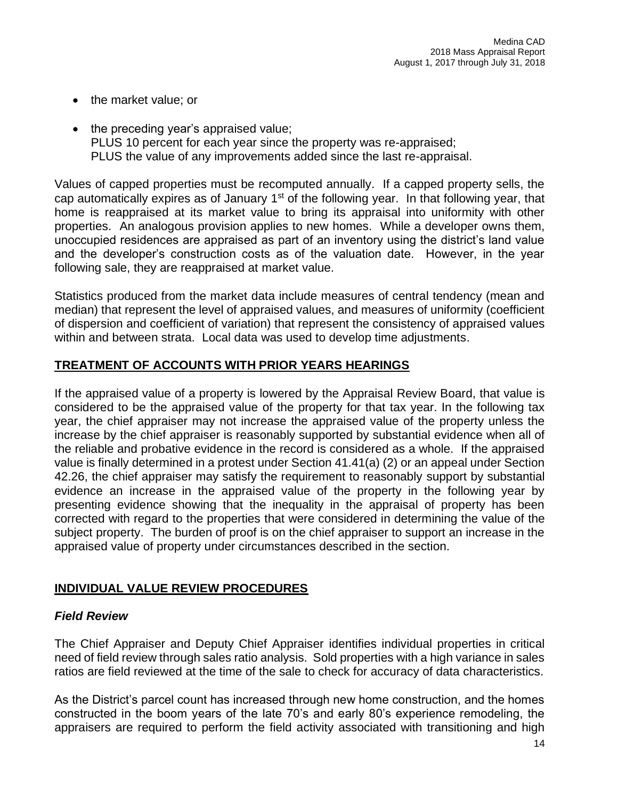- the market value; or
- the preceding year's appraised value; PLUS 10 percent for each year since the property was re-appraised; PLUS the value of any improvements added since the last re-appraisal.

Values of capped properties must be recomputed annually. If a capped property sells, the cap automatically expires as of January  $1<sup>st</sup>$  of the following year. In that following year, that home is reappraised at its market value to bring its appraisal into uniformity with other properties. An analogous provision applies to new homes. While a developer owns them, unoccupied residences are appraised as part of an inventory using the district's land value and the developer's construction costs as of the valuation date. However, in the year following sale, they are reappraised at market value.

Statistics produced from the market data include measures of central tendency (mean and median) that represent the level of appraised values, and measures of uniformity (coefficient of dispersion and coefficient of variation) that represent the consistency of appraised values within and between strata. Local data was used to develop time adjustments.

## **TREATMENT OF ACCOUNTS WITH PRIOR YEARS HEARINGS**

If the appraised value of a property is lowered by the Appraisal Review Board, that value is considered to be the appraised value of the property for that tax year. In the following tax year, the chief appraiser may not increase the appraised value of the property unless the increase by the chief appraiser is reasonably supported by substantial evidence when all of the reliable and probative evidence in the record is considered as a whole. If the appraised value is finally determined in a protest under Section 41.41(a) (2) or an appeal under Section 42.26, the chief appraiser may satisfy the requirement to reasonably support by substantial evidence an increase in the appraised value of the property in the following year by presenting evidence showing that the inequality in the appraisal of property has been corrected with regard to the properties that were considered in determining the value of the subject property. The burden of proof is on the chief appraiser to support an increase in the appraised value of property under circumstances described in the section.

## **INDIVIDUAL VALUE REVIEW PROCEDURES**

## *Field Review*

The Chief Appraiser and Deputy Chief Appraiser identifies individual properties in critical need of field review through sales ratio analysis. Sold properties with a high variance in sales ratios are field reviewed at the time of the sale to check for accuracy of data characteristics.

As the District's parcel count has increased through new home construction, and the homes constructed in the boom years of the late 70's and early 80's experience remodeling, the appraisers are required to perform the field activity associated with transitioning and high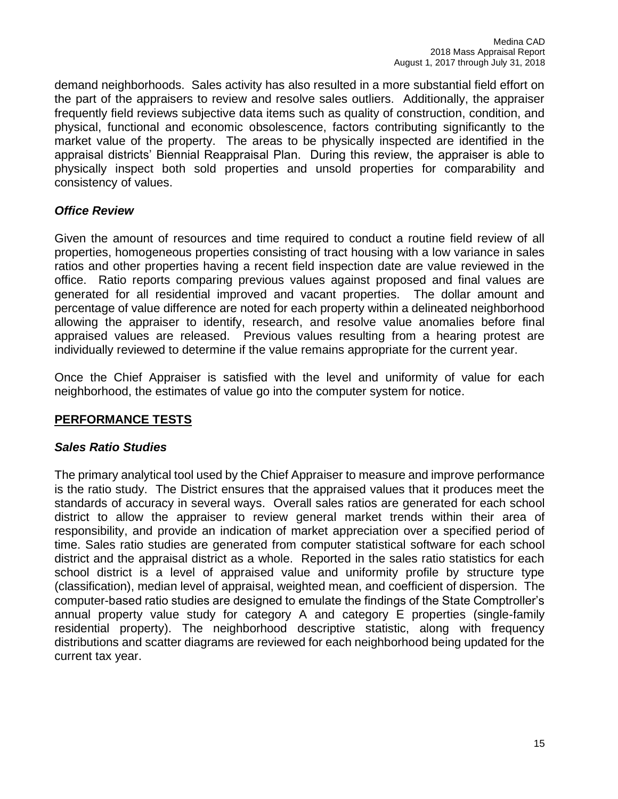demand neighborhoods. Sales activity has also resulted in a more substantial field effort on the part of the appraisers to review and resolve sales outliers. Additionally, the appraiser frequently field reviews subjective data items such as quality of construction, condition, and physical, functional and economic obsolescence, factors contributing significantly to the market value of the property. The areas to be physically inspected are identified in the appraisal districts' Biennial Reappraisal Plan. During this review, the appraiser is able to physically inspect both sold properties and unsold properties for comparability and consistency of values.

## *Office Review*

Given the amount of resources and time required to conduct a routine field review of all properties, homogeneous properties consisting of tract housing with a low variance in sales ratios and other properties having a recent field inspection date are value reviewed in the office. Ratio reports comparing previous values against proposed and final values are generated for all residential improved and vacant properties. The dollar amount and percentage of value difference are noted for each property within a delineated neighborhood allowing the appraiser to identify, research, and resolve value anomalies before final appraised values are released. Previous values resulting from a hearing protest are individually reviewed to determine if the value remains appropriate for the current year.

Once the Chief Appraiser is satisfied with the level and uniformity of value for each neighborhood, the estimates of value go into the computer system for notice.

## **PERFORMANCE TESTS**

## *Sales Ratio Studies*

The primary analytical tool used by the Chief Appraiser to measure and improve performance is the ratio study. The District ensures that the appraised values that it produces meet the standards of accuracy in several ways. Overall sales ratios are generated for each school district to allow the appraiser to review general market trends within their area of responsibility, and provide an indication of market appreciation over a specified period of time. Sales ratio studies are generated from computer statistical software for each school district and the appraisal district as a whole. Reported in the sales ratio statistics for each school district is a level of appraised value and uniformity profile by structure type (classification), median level of appraisal, weighted mean, and coefficient of dispersion. The computer-based ratio studies are designed to emulate the findings of the State Comptroller's annual property value study for category A and category E properties (single-family residential property). The neighborhood descriptive statistic, along with frequency distributions and scatter diagrams are reviewed for each neighborhood being updated for the current tax year.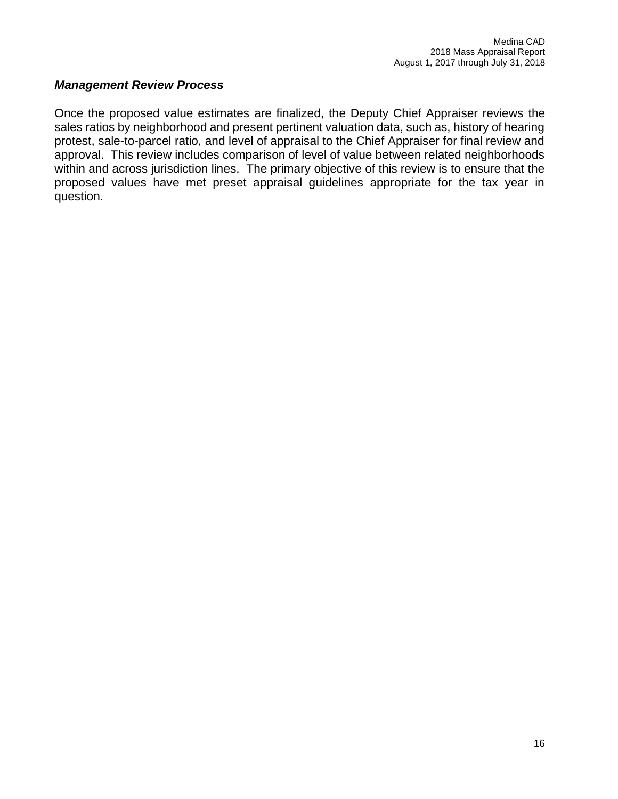## *Management Review Process*

Once the proposed value estimates are finalized, the Deputy Chief Appraiser reviews the sales ratios by neighborhood and present pertinent valuation data, such as, history of hearing protest, sale-to-parcel ratio, and level of appraisal to the Chief Appraiser for final review and approval. This review includes comparison of level of value between related neighborhoods within and across jurisdiction lines. The primary objective of this review is to ensure that the proposed values have met preset appraisal guidelines appropriate for the tax year in question.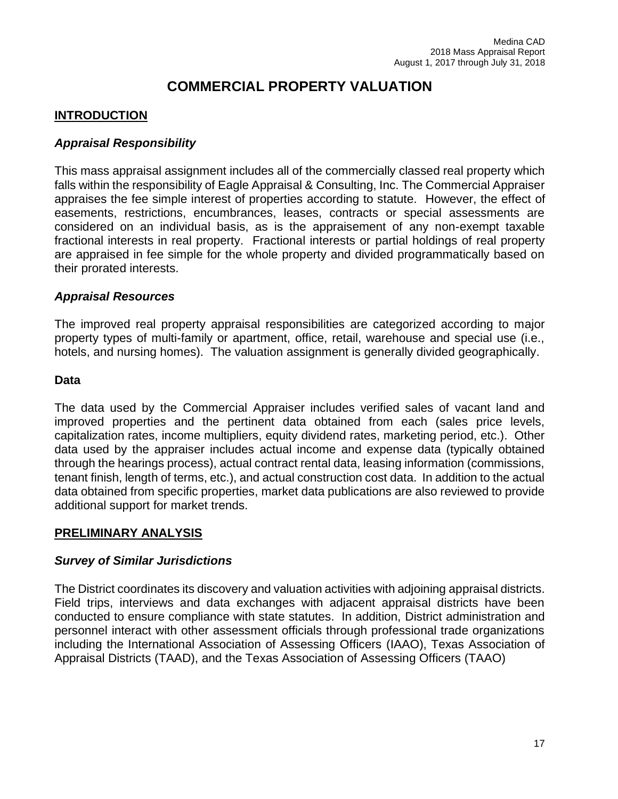# **COMMERCIAL PROPERTY VALUATION**

## **INTRODUCTION**

## *Appraisal Responsibility*

This mass appraisal assignment includes all of the commercially classed real property which falls within the responsibility of Eagle Appraisal & Consulting, Inc. The Commercial Appraiser appraises the fee simple interest of properties according to statute. However, the effect of easements, restrictions, encumbrances, leases, contracts or special assessments are considered on an individual basis, as is the appraisement of any non-exempt taxable fractional interests in real property. Fractional interests or partial holdings of real property are appraised in fee simple for the whole property and divided programmatically based on their prorated interests.

## *Appraisal Resources*

The improved real property appraisal responsibilities are categorized according to major property types of multi-family or apartment, office, retail, warehouse and special use (i.e., hotels, and nursing homes). The valuation assignment is generally divided geographically.

#### **Data**

The data used by the Commercial Appraiser includes verified sales of vacant land and improved properties and the pertinent data obtained from each (sales price levels, capitalization rates, income multipliers, equity dividend rates, marketing period, etc.). Other data used by the appraiser includes actual income and expense data (typically obtained through the hearings process), actual contract rental data, leasing information (commissions, tenant finish, length of terms, etc.), and actual construction cost data. In addition to the actual data obtained from specific properties, market data publications are also reviewed to provide additional support for market trends.

## **PRELIMINARY ANALYSIS**

## *Survey of Similar Jurisdictions*

The District coordinates its discovery and valuation activities with adjoining appraisal districts. Field trips, interviews and data exchanges with adjacent appraisal districts have been conducted to ensure compliance with state statutes. In addition, District administration and personnel interact with other assessment officials through professional trade organizations including the International Association of Assessing Officers (IAAO), Texas Association of Appraisal Districts (TAAD), and the Texas Association of Assessing Officers (TAAO)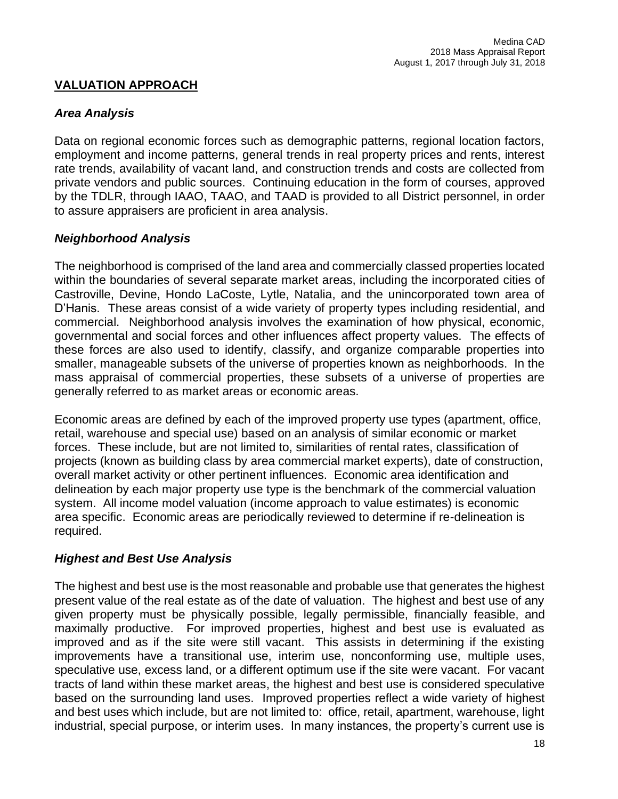## **VALUATION APPROACH**

## *Area Analysis*

Data on regional economic forces such as demographic patterns, regional location factors, employment and income patterns, general trends in real property prices and rents, interest rate trends, availability of vacant land, and construction trends and costs are collected from private vendors and public sources. Continuing education in the form of courses, approved by the TDLR, through IAAO, TAAO, and TAAD is provided to all District personnel, in order to assure appraisers are proficient in area analysis.

## *Neighborhood Analysis*

The neighborhood is comprised of the land area and commercially classed properties located within the boundaries of several separate market areas, including the incorporated cities of Castroville, Devine, Hondo LaCoste, Lytle, Natalia, and the unincorporated town area of D'Hanis. These areas consist of a wide variety of property types including residential, and commercial. Neighborhood analysis involves the examination of how physical, economic, governmental and social forces and other influences affect property values. The effects of these forces are also used to identify, classify, and organize comparable properties into smaller, manageable subsets of the universe of properties known as neighborhoods. In the mass appraisal of commercial properties, these subsets of a universe of properties are generally referred to as market areas or economic areas.

Economic areas are defined by each of the improved property use types (apartment, office, retail, warehouse and special use) based on an analysis of similar economic or market forces. These include, but are not limited to, similarities of rental rates, classification of projects (known as building class by area commercial market experts), date of construction, overall market activity or other pertinent influences. Economic area identification and delineation by each major property use type is the benchmark of the commercial valuation system. All income model valuation (income approach to value estimates) is economic area specific. Economic areas are periodically reviewed to determine if re-delineation is required.

## *Highest and Best Use Analysis*

The highest and best use is the most reasonable and probable use that generates the highest present value of the real estate as of the date of valuation. The highest and best use of any given property must be physically possible, legally permissible, financially feasible, and maximally productive. For improved properties, highest and best use is evaluated as improved and as if the site were still vacant. This assists in determining if the existing improvements have a transitional use, interim use, nonconforming use, multiple uses, speculative use, excess land, or a different optimum use if the site were vacant. For vacant tracts of land within these market areas, the highest and best use is considered speculative based on the surrounding land uses. Improved properties reflect a wide variety of highest and best uses which include, but are not limited to: office, retail, apartment, warehouse, light industrial, special purpose, or interim uses. In many instances, the property's current use is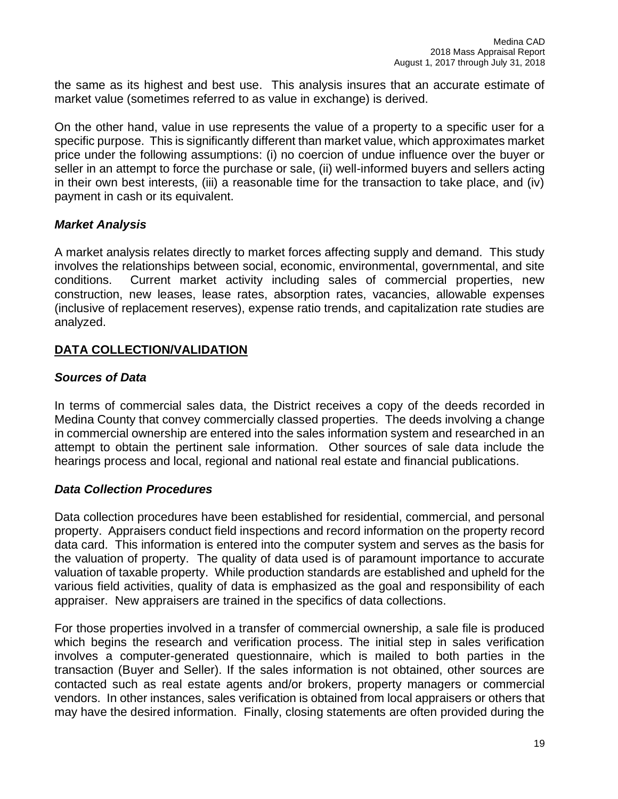the same as its highest and best use. This analysis insures that an accurate estimate of market value (sometimes referred to as value in exchange) is derived.

On the other hand, value in use represents the value of a property to a specific user for a specific purpose. This is significantly different than market value, which approximates market price under the following assumptions: (i) no coercion of undue influence over the buyer or seller in an attempt to force the purchase or sale, (ii) well-informed buyers and sellers acting in their own best interests, (iii) a reasonable time for the transaction to take place, and (iv) payment in cash or its equivalent.

## *Market Analysis*

A market analysis relates directly to market forces affecting supply and demand. This study involves the relationships between social, economic, environmental, governmental, and site conditions. Current market activity including sales of commercial properties, new construction, new leases, lease rates, absorption rates, vacancies, allowable expenses (inclusive of replacement reserves), expense ratio trends, and capitalization rate studies are analyzed.

## **DATA COLLECTION/VALIDATION**

## *Sources of Data*

In terms of commercial sales data, the District receives a copy of the deeds recorded in Medina County that convey commercially classed properties. The deeds involving a change in commercial ownership are entered into the sales information system and researched in an attempt to obtain the pertinent sale information. Other sources of sale data include the hearings process and local, regional and national real estate and financial publications.

## *Data Collection Procedures*

Data collection procedures have been established for residential, commercial, and personal property. Appraisers conduct field inspections and record information on the property record data card. This information is entered into the computer system and serves as the basis for the valuation of property. The quality of data used is of paramount importance to accurate valuation of taxable property. While production standards are established and upheld for the various field activities, quality of data is emphasized as the goal and responsibility of each appraiser. New appraisers are trained in the specifics of data collections.

For those properties involved in a transfer of commercial ownership, a sale file is produced which begins the research and verification process. The initial step in sales verification involves a computer-generated questionnaire, which is mailed to both parties in the transaction (Buyer and Seller). If the sales information is not obtained, other sources are contacted such as real estate agents and/or brokers, property managers or commercial vendors. In other instances, sales verification is obtained from local appraisers or others that may have the desired information. Finally, closing statements are often provided during the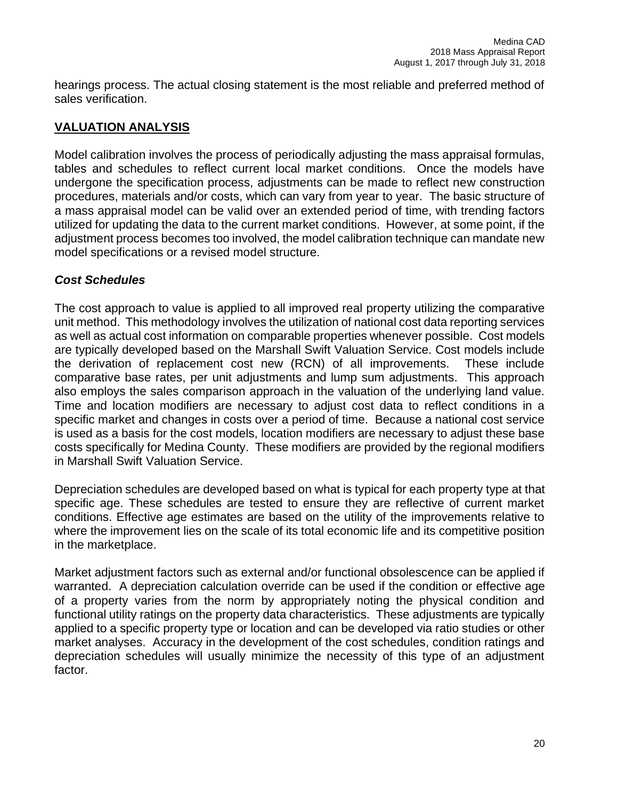hearings process. The actual closing statement is the most reliable and preferred method of sales verification.

## **VALUATION ANALYSIS**

Model calibration involves the process of periodically adjusting the mass appraisal formulas, tables and schedules to reflect current local market conditions. Once the models have undergone the specification process, adjustments can be made to reflect new construction procedures, materials and/or costs, which can vary from year to year. The basic structure of a mass appraisal model can be valid over an extended period of time, with trending factors utilized for updating the data to the current market conditions. However, at some point, if the adjustment process becomes too involved, the model calibration technique can mandate new model specifications or a revised model structure.

## *Cost Schedules*

The cost approach to value is applied to all improved real property utilizing the comparative unit method. This methodology involves the utilization of national cost data reporting services as well as actual cost information on comparable properties whenever possible. Cost models are typically developed based on the Marshall Swift Valuation Service. Cost models include the derivation of replacement cost new (RCN) of all improvements. These include comparative base rates, per unit adjustments and lump sum adjustments. This approach also employs the sales comparison approach in the valuation of the underlying land value. Time and location modifiers are necessary to adjust cost data to reflect conditions in a specific market and changes in costs over a period of time. Because a national cost service is used as a basis for the cost models, location modifiers are necessary to adjust these base costs specifically for Medina County. These modifiers are provided by the regional modifiers in Marshall Swift Valuation Service.

Depreciation schedules are developed based on what is typical for each property type at that specific age. These schedules are tested to ensure they are reflective of current market conditions. Effective age estimates are based on the utility of the improvements relative to where the improvement lies on the scale of its total economic life and its competitive position in the marketplace.

Market adjustment factors such as external and/or functional obsolescence can be applied if warranted. A depreciation calculation override can be used if the condition or effective age of a property varies from the norm by appropriately noting the physical condition and functional utility ratings on the property data characteristics. These adjustments are typically applied to a specific property type or location and can be developed via ratio studies or other market analyses. Accuracy in the development of the cost schedules, condition ratings and depreciation schedules will usually minimize the necessity of this type of an adjustment factor.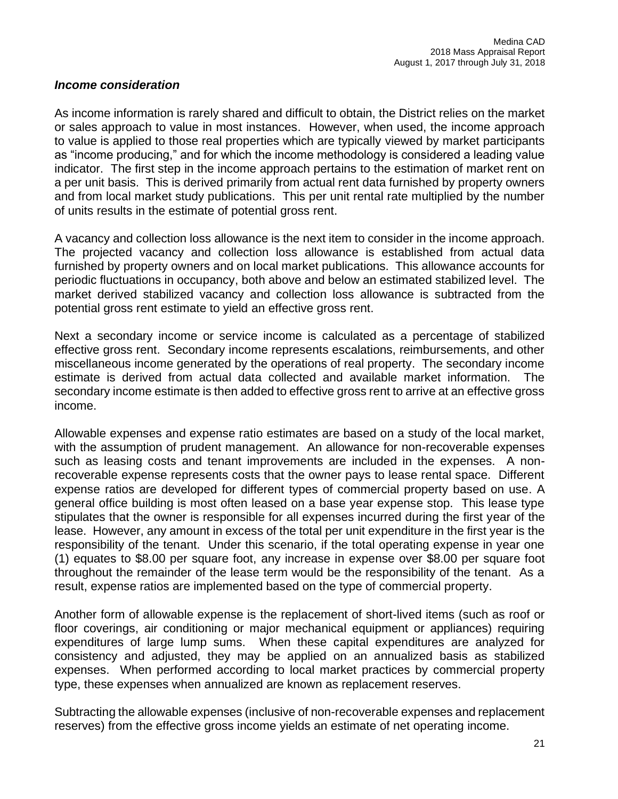## *Income consideration*

As income information is rarely shared and difficult to obtain, the District relies on the market or sales approach to value in most instances. However, when used, the income approach to value is applied to those real properties which are typically viewed by market participants as "income producing," and for which the income methodology is considered a leading value indicator. The first step in the income approach pertains to the estimation of market rent on a per unit basis. This is derived primarily from actual rent data furnished by property owners and from local market study publications. This per unit rental rate multiplied by the number of units results in the estimate of potential gross rent.

A vacancy and collection loss allowance is the next item to consider in the income approach. The projected vacancy and collection loss allowance is established from actual data furnished by property owners and on local market publications. This allowance accounts for periodic fluctuations in occupancy, both above and below an estimated stabilized level. The market derived stabilized vacancy and collection loss allowance is subtracted from the potential gross rent estimate to yield an effective gross rent.

Next a secondary income or service income is calculated as a percentage of stabilized effective gross rent. Secondary income represents escalations, reimbursements, and other miscellaneous income generated by the operations of real property. The secondary income estimate is derived from actual data collected and available market information. The secondary income estimate is then added to effective gross rent to arrive at an effective gross income.

Allowable expenses and expense ratio estimates are based on a study of the local market, with the assumption of prudent management. An allowance for non-recoverable expenses such as leasing costs and tenant improvements are included in the expenses. A nonrecoverable expense represents costs that the owner pays to lease rental space. Different expense ratios are developed for different types of commercial property based on use. A general office building is most often leased on a base year expense stop. This lease type stipulates that the owner is responsible for all expenses incurred during the first year of the lease. However, any amount in excess of the total per unit expenditure in the first year is the responsibility of the tenant. Under this scenario, if the total operating expense in year one (1) equates to \$8.00 per square foot, any increase in expense over \$8.00 per square foot throughout the remainder of the lease term would be the responsibility of the tenant. As a result, expense ratios are implemented based on the type of commercial property.

Another form of allowable expense is the replacement of short-lived items (such as roof or floor coverings, air conditioning or major mechanical equipment or appliances) requiring expenditures of large lump sums. When these capital expenditures are analyzed for consistency and adjusted, they may be applied on an annualized basis as stabilized expenses. When performed according to local market practices by commercial property type, these expenses when annualized are known as replacement reserves.

Subtracting the allowable expenses (inclusive of non-recoverable expenses and replacement reserves) from the effective gross income yields an estimate of net operating income.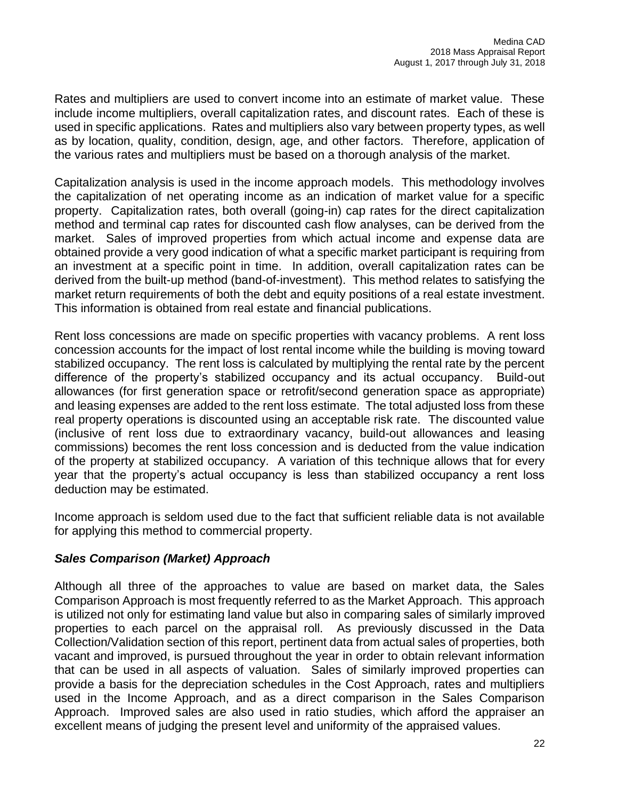Rates and multipliers are used to convert income into an estimate of market value. These include income multipliers, overall capitalization rates, and discount rates. Each of these is used in specific applications. Rates and multipliers also vary between property types, as well as by location, quality, condition, design, age, and other factors. Therefore, application of the various rates and multipliers must be based on a thorough analysis of the market.

Capitalization analysis is used in the income approach models. This methodology involves the capitalization of net operating income as an indication of market value for a specific property. Capitalization rates, both overall (going-in) cap rates for the direct capitalization method and terminal cap rates for discounted cash flow analyses, can be derived from the market. Sales of improved properties from which actual income and expense data are obtained provide a very good indication of what a specific market participant is requiring from an investment at a specific point in time. In addition, overall capitalization rates can be derived from the built-up method (band-of-investment). This method relates to satisfying the market return requirements of both the debt and equity positions of a real estate investment. This information is obtained from real estate and financial publications.

Rent loss concessions are made on specific properties with vacancy problems. A rent loss concession accounts for the impact of lost rental income while the building is moving toward stabilized occupancy. The rent loss is calculated by multiplying the rental rate by the percent difference of the property's stabilized occupancy and its actual occupancy. Build-out allowances (for first generation space or retrofit/second generation space as appropriate) and leasing expenses are added to the rent loss estimate. The total adjusted loss from these real property operations is discounted using an acceptable risk rate. The discounted value (inclusive of rent loss due to extraordinary vacancy, build-out allowances and leasing commissions) becomes the rent loss concession and is deducted from the value indication of the property at stabilized occupancy. A variation of this technique allows that for every year that the property's actual occupancy is less than stabilized occupancy a rent loss deduction may be estimated.

Income approach is seldom used due to the fact that sufficient reliable data is not available for applying this method to commercial property.

## *Sales Comparison (Market) Approach*

Although all three of the approaches to value are based on market data, the Sales Comparison Approach is most frequently referred to as the Market Approach. This approach is utilized not only for estimating land value but also in comparing sales of similarly improved properties to each parcel on the appraisal roll. As previously discussed in the Data Collection/Validation section of this report, pertinent data from actual sales of properties, both vacant and improved, is pursued throughout the year in order to obtain relevant information that can be used in all aspects of valuation. Sales of similarly improved properties can provide a basis for the depreciation schedules in the Cost Approach, rates and multipliers used in the Income Approach, and as a direct comparison in the Sales Comparison Approach. Improved sales are also used in ratio studies, which afford the appraiser an excellent means of judging the present level and uniformity of the appraised values.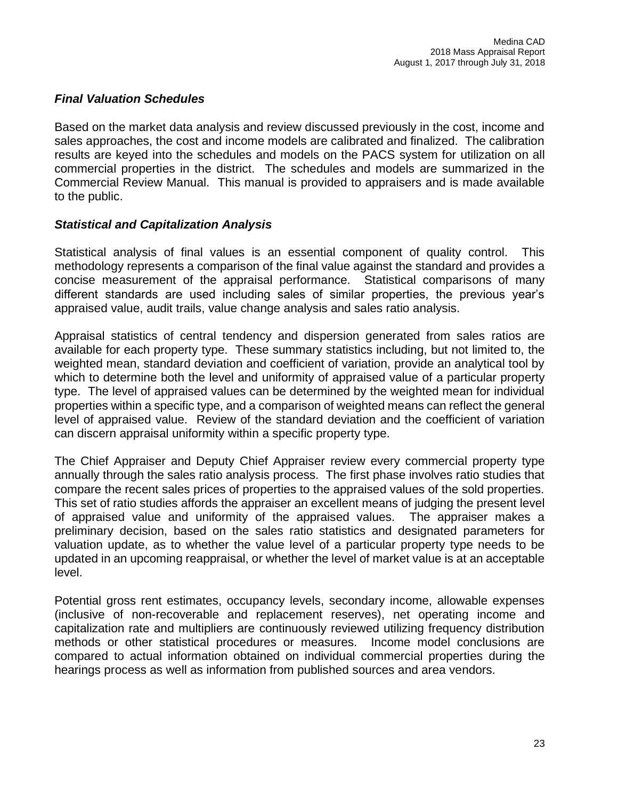## *Final Valuation Schedules*

Based on the market data analysis and review discussed previously in the cost, income and sales approaches, the cost and income models are calibrated and finalized. The calibration results are keyed into the schedules and models on the PACS system for utilization on all commercial properties in the district. The schedules and models are summarized in the Commercial Review Manual. This manual is provided to appraisers and is made available to the public.

## *Statistical and Capitalization Analysis*

Statistical analysis of final values is an essential component of quality control. This methodology represents a comparison of the final value against the standard and provides a concise measurement of the appraisal performance. Statistical comparisons of many different standards are used including sales of similar properties, the previous year's appraised value, audit trails, value change analysis and sales ratio analysis.

Appraisal statistics of central tendency and dispersion generated from sales ratios are available for each property type. These summary statistics including, but not limited to, the weighted mean, standard deviation and coefficient of variation, provide an analytical tool by which to determine both the level and uniformity of appraised value of a particular property type. The level of appraised values can be determined by the weighted mean for individual properties within a specific type, and a comparison of weighted means can reflect the general level of appraised value. Review of the standard deviation and the coefficient of variation can discern appraisal uniformity within a specific property type.

The Chief Appraiser and Deputy Chief Appraiser review every commercial property type annually through the sales ratio analysis process. The first phase involves ratio studies that compare the recent sales prices of properties to the appraised values of the sold properties. This set of ratio studies affords the appraiser an excellent means of judging the present level of appraised value and uniformity of the appraised values. The appraiser makes a preliminary decision, based on the sales ratio statistics and designated parameters for valuation update, as to whether the value level of a particular property type needs to be updated in an upcoming reappraisal, or whether the level of market value is at an acceptable level.

Potential gross rent estimates, occupancy levels, secondary income, allowable expenses (inclusive of non-recoverable and replacement reserves), net operating income and capitalization rate and multipliers are continuously reviewed utilizing frequency distribution methods or other statistical procedures or measures. Income model conclusions are compared to actual information obtained on individual commercial properties during the hearings process as well as information from published sources and area vendors.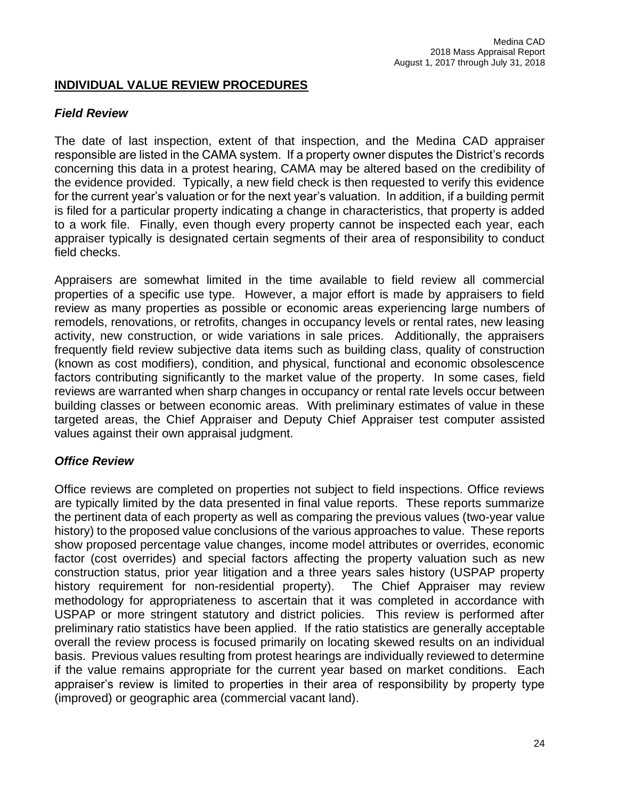## **INDIVIDUAL VALUE REVIEW PROCEDURES**

## *Field Review*

The date of last inspection, extent of that inspection, and the Medina CAD appraiser responsible are listed in the CAMA system. If a property owner disputes the District's records concerning this data in a protest hearing, CAMA may be altered based on the credibility of the evidence provided. Typically, a new field check is then requested to verify this evidence for the current year's valuation or for the next year's valuation. In addition, if a building permit is filed for a particular property indicating a change in characteristics, that property is added to a work file. Finally, even though every property cannot be inspected each year, each appraiser typically is designated certain segments of their area of responsibility to conduct field checks.

Appraisers are somewhat limited in the time available to field review all commercial properties of a specific use type. However, a major effort is made by appraisers to field review as many properties as possible or economic areas experiencing large numbers of remodels, renovations, or retrofits, changes in occupancy levels or rental rates, new leasing activity, new construction, or wide variations in sale prices. Additionally, the appraisers frequently field review subjective data items such as building class, quality of construction (known as cost modifiers), condition, and physical, functional and economic obsolescence factors contributing significantly to the market value of the property. In some cases, field reviews are warranted when sharp changes in occupancy or rental rate levels occur between building classes or between economic areas. With preliminary estimates of value in these targeted areas, the Chief Appraiser and Deputy Chief Appraiser test computer assisted values against their own appraisal judgment.

## *Office Review*

Office reviews are completed on properties not subject to field inspections. Office reviews are typically limited by the data presented in final value reports. These reports summarize the pertinent data of each property as well as comparing the previous values (two-year value history) to the proposed value conclusions of the various approaches to value. These reports show proposed percentage value changes, income model attributes or overrides, economic factor (cost overrides) and special factors affecting the property valuation such as new construction status, prior year litigation and a three years sales history (USPAP property history requirement for non-residential property). The Chief Appraiser may review methodology for appropriateness to ascertain that it was completed in accordance with USPAP or more stringent statutory and district policies. This review is performed after preliminary ratio statistics have been applied. If the ratio statistics are generally acceptable overall the review process is focused primarily on locating skewed results on an individual basis. Previous values resulting from protest hearings are individually reviewed to determine if the value remains appropriate for the current year based on market conditions. Each appraiser's review is limited to properties in their area of responsibility by property type (improved) or geographic area (commercial vacant land).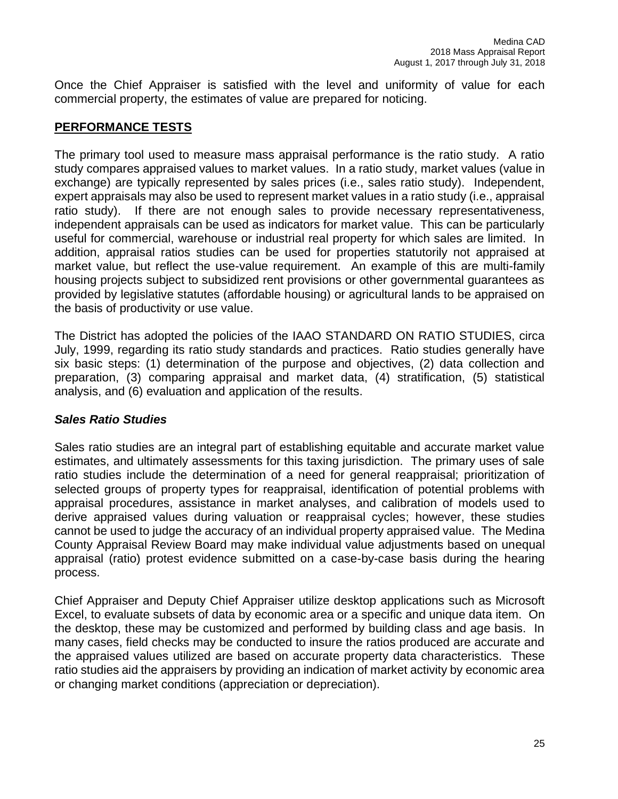Once the Chief Appraiser is satisfied with the level and uniformity of value for each commercial property, the estimates of value are prepared for noticing.

## **PERFORMANCE TESTS**

The primary tool used to measure mass appraisal performance is the ratio study. A ratio study compares appraised values to market values. In a ratio study, market values (value in exchange) are typically represented by sales prices (i.e., sales ratio study). Independent, expert appraisals may also be used to represent market values in a ratio study (i.e., appraisal ratio study). If there are not enough sales to provide necessary representativeness, independent appraisals can be used as indicators for market value. This can be particularly useful for commercial, warehouse or industrial real property for which sales are limited. In addition, appraisal ratios studies can be used for properties statutorily not appraised at market value, but reflect the use-value requirement. An example of this are multi-family housing projects subject to subsidized rent provisions or other governmental guarantees as provided by legislative statutes (affordable housing) or agricultural lands to be appraised on the basis of productivity or use value.

The District has adopted the policies of the IAAO STANDARD ON RATIO STUDIES, circa July, 1999, regarding its ratio study standards and practices. Ratio studies generally have six basic steps: (1) determination of the purpose and objectives, (2) data collection and preparation, (3) comparing appraisal and market data, (4) stratification, (5) statistical analysis, and (6) evaluation and application of the results.

## *Sales Ratio Studies*

Sales ratio studies are an integral part of establishing equitable and accurate market value estimates, and ultimately assessments for this taxing jurisdiction. The primary uses of sale ratio studies include the determination of a need for general reappraisal; prioritization of selected groups of property types for reappraisal, identification of potential problems with appraisal procedures, assistance in market analyses, and calibration of models used to derive appraised values during valuation or reappraisal cycles; however, these studies cannot be used to judge the accuracy of an individual property appraised value. The Medina County Appraisal Review Board may make individual value adjustments based on unequal appraisal (ratio) protest evidence submitted on a case-by-case basis during the hearing process.

Chief Appraiser and Deputy Chief Appraiser utilize desktop applications such as Microsoft Excel, to evaluate subsets of data by economic area or a specific and unique data item. On the desktop, these may be customized and performed by building class and age basis. In many cases, field checks may be conducted to insure the ratios produced are accurate and the appraised values utilized are based on accurate property data characteristics. These ratio studies aid the appraisers by providing an indication of market activity by economic area or changing market conditions (appreciation or depreciation).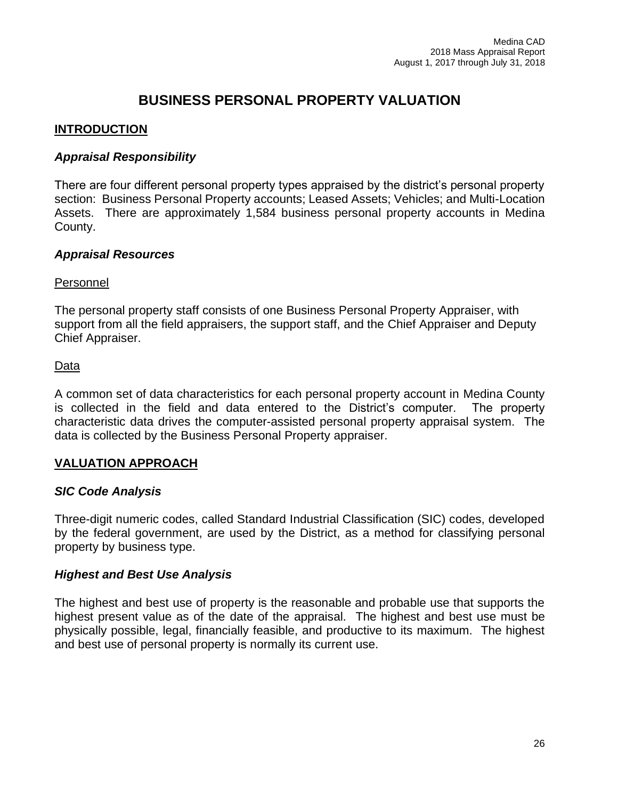# **BUSINESS PERSONAL PROPERTY VALUATION**

## **INTRODUCTION**

## *Appraisal Responsibility*

There are four different personal property types appraised by the district's personal property section: Business Personal Property accounts; Leased Assets; Vehicles; and Multi-Location Assets. There are approximately 1,584 business personal property accounts in Medina County.

## *Appraisal Resources*

## Personnel

The personal property staff consists of one Business Personal Property Appraiser, with support from all the field appraisers, the support staff, and the Chief Appraiser and Deputy Chief Appraiser.

## Data

A common set of data characteristics for each personal property account in Medina County is collected in the field and data entered to the District's computer. The property characteristic data drives the computer-assisted personal property appraisal system. The data is collected by the Business Personal Property appraiser.

## **VALUATION APPROACH**

## *SIC Code Analysis*

Three-digit numeric codes, called Standard Industrial Classification (SIC) codes, developed by the federal government, are used by the District, as a method for classifying personal property by business type.

## *Highest and Best Use Analysis*

The highest and best use of property is the reasonable and probable use that supports the highest present value as of the date of the appraisal. The highest and best use must be physically possible, legal, financially feasible, and productive to its maximum. The highest and best use of personal property is normally its current use.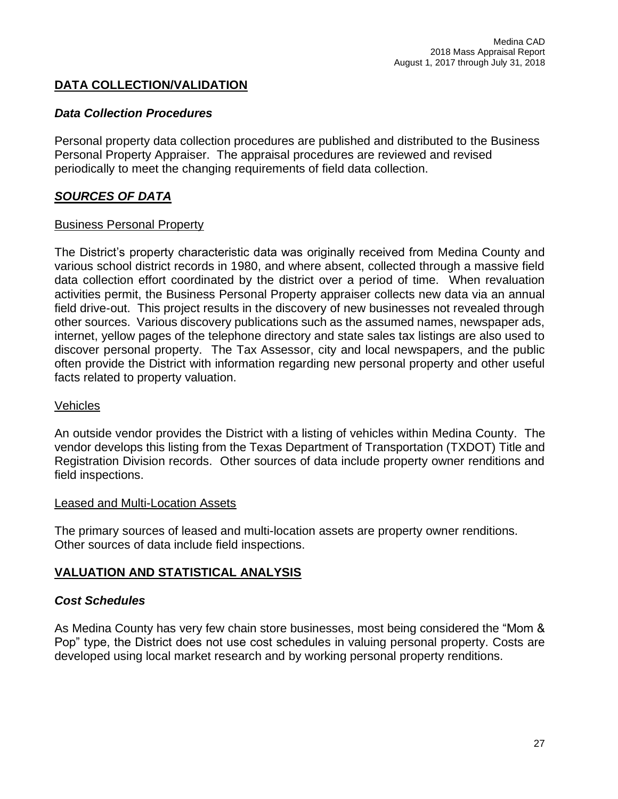## **DATA COLLECTION/VALIDATION**

## *Data Collection Procedures*

Personal property data collection procedures are published and distributed to the Business Personal Property Appraiser. The appraisal procedures are reviewed and revised periodically to meet the changing requirements of field data collection.

## *SOURCES OF DATA*

#### Business Personal Property

The District's property characteristic data was originally received from Medina County and various school district records in 1980, and where absent, collected through a massive field data collection effort coordinated by the district over a period of time. When revaluation activities permit, the Business Personal Property appraiser collects new data via an annual field drive-out. This project results in the discovery of new businesses not revealed through other sources. Various discovery publications such as the assumed names, newspaper ads, internet, yellow pages of the telephone directory and state sales tax listings are also used to discover personal property. The Tax Assessor, city and local newspapers, and the public often provide the District with information regarding new personal property and other useful facts related to property valuation.

#### Vehicles

An outside vendor provides the District with a listing of vehicles within Medina County. The vendor develops this listing from the Texas Department of Transportation (TXDOT) Title and Registration Division records. Other sources of data include property owner renditions and field inspections.

#### Leased and Multi-Location Assets

The primary sources of leased and multi-location assets are property owner renditions. Other sources of data include field inspections.

## **VALUATION AND STATISTICAL ANALYSIS**

## *Cost Schedules*

As Medina County has very few chain store businesses, most being considered the "Mom & Pop" type, the District does not use cost schedules in valuing personal property. Costs are developed using local market research and by working personal property renditions.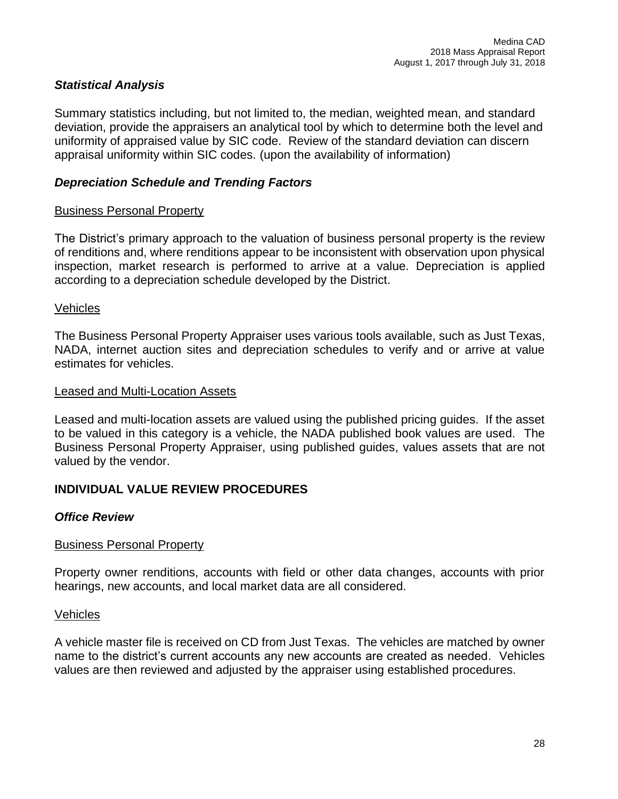## *Statistical Analysis*

Summary statistics including, but not limited to, the median, weighted mean, and standard deviation, provide the appraisers an analytical tool by which to determine both the level and uniformity of appraised value by SIC code. Review of the standard deviation can discern appraisal uniformity within SIC codes. (upon the availability of information)

## *Depreciation Schedule and Trending Factors*

## Business Personal Property

The District's primary approach to the valuation of business personal property is the review of renditions and, where renditions appear to be inconsistent with observation upon physical inspection, market research is performed to arrive at a value. Depreciation is applied according to a depreciation schedule developed by the District.

#### Vehicles

The Business Personal Property Appraiser uses various tools available, such as Just Texas, NADA, internet auction sites and depreciation schedules to verify and or arrive at value estimates for vehicles.

#### Leased and Multi-Location Assets

Leased and multi-location assets are valued using the published pricing guides. If the asset to be valued in this category is a vehicle, the NADA published book values are used. The Business Personal Property Appraiser, using published guides, values assets that are not valued by the vendor.

## **INDIVIDUAL VALUE REVIEW PROCEDURES**

## *Office Review*

## Business Personal Property

Property owner renditions, accounts with field or other data changes, accounts with prior hearings, new accounts, and local market data are all considered.

#### Vehicles

A vehicle master file is received on CD from Just Texas. The vehicles are matched by owner name to the district's current accounts any new accounts are created as needed. Vehicles values are then reviewed and adjusted by the appraiser using established procedures.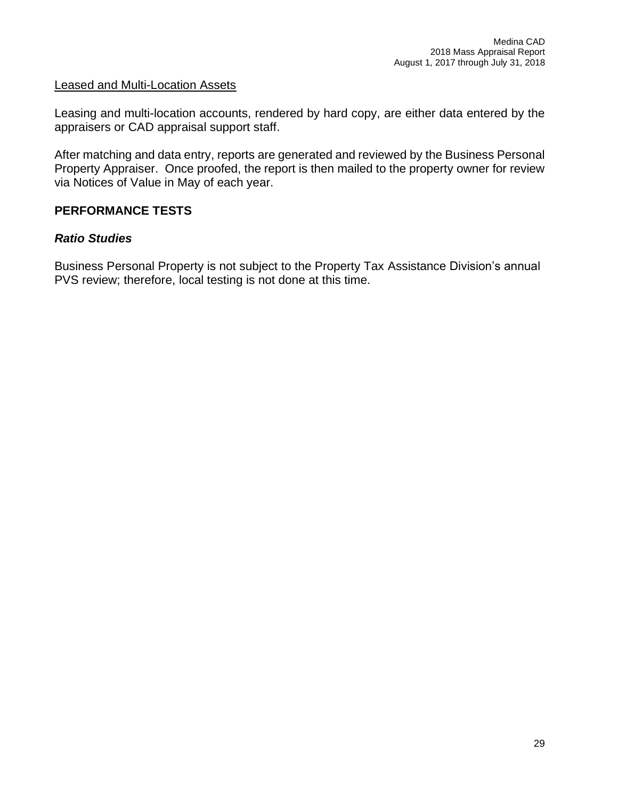#### Leased and Multi-Location Assets

Leasing and multi-location accounts, rendered by hard copy, are either data entered by the appraisers or CAD appraisal support staff.

After matching and data entry, reports are generated and reviewed by the Business Personal Property Appraiser. Once proofed, the report is then mailed to the property owner for review via Notices of Value in May of each year.

## **PERFORMANCE TESTS**

## *Ratio Studies*

Business Personal Property is not subject to the Property Tax Assistance Division's annual PVS review; therefore, local testing is not done at this time.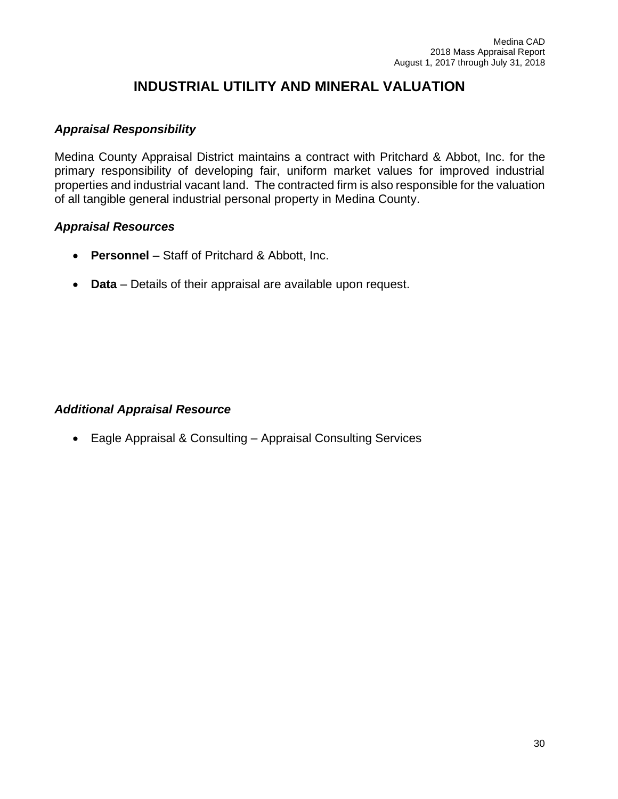# **INDUSTRIAL UTILITY AND MINERAL VALUATION**

## *Appraisal Responsibility*

Medina County Appraisal District maintains a contract with Pritchard & Abbot, Inc. for the primary responsibility of developing fair, uniform market values for improved industrial properties and industrial vacant land. The contracted firm is also responsible for the valuation of all tangible general industrial personal property in Medina County.

#### *Appraisal Resources*

- **Personnel** Staff of Pritchard & Abbott, Inc.
- **Data** Details of their appraisal are available upon request.

## *Additional Appraisal Resource*

• Eagle Appraisal & Consulting – Appraisal Consulting Services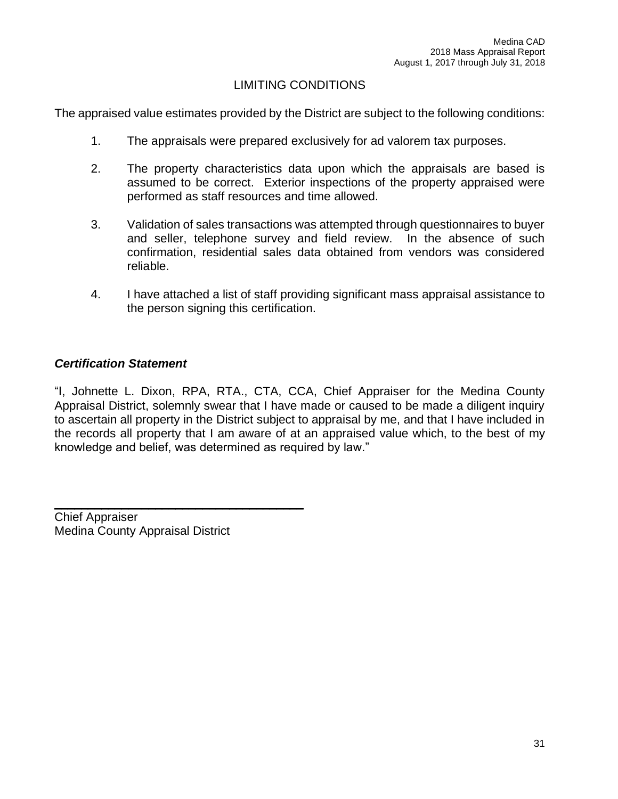## LIMITING CONDITIONS

The appraised value estimates provided by the District are subject to the following conditions:

- 1. The appraisals were prepared exclusively for ad valorem tax purposes.
- 2. The property characteristics data upon which the appraisals are based is assumed to be correct. Exterior inspections of the property appraised were performed as staff resources and time allowed.
- 3. Validation of sales transactions was attempted through questionnaires to buyer and seller, telephone survey and field review. In the absence of such confirmation, residential sales data obtained from vendors was considered reliable.
- 4. I have attached a list of staff providing significant mass appraisal assistance to the person signing this certification.

## *Certification Statement*

"I, Johnette L. Dixon, RPA, RTA., CTA, CCA, Chief Appraiser for the Medina County Appraisal District, solemnly swear that I have made or caused to be made a diligent inquiry to ascertain all property in the District subject to appraisal by me, and that I have included in the records all property that I am aware of at an appraised value which, to the best of my knowledge and belief, was determined as required by law."

Chief Appraiser Medina County Appraisal District

 $\mathcal{L}_\text{max}$  and  $\mathcal{L}_\text{max}$  and  $\mathcal{L}_\text{max}$  and  $\mathcal{L}_\text{max}$